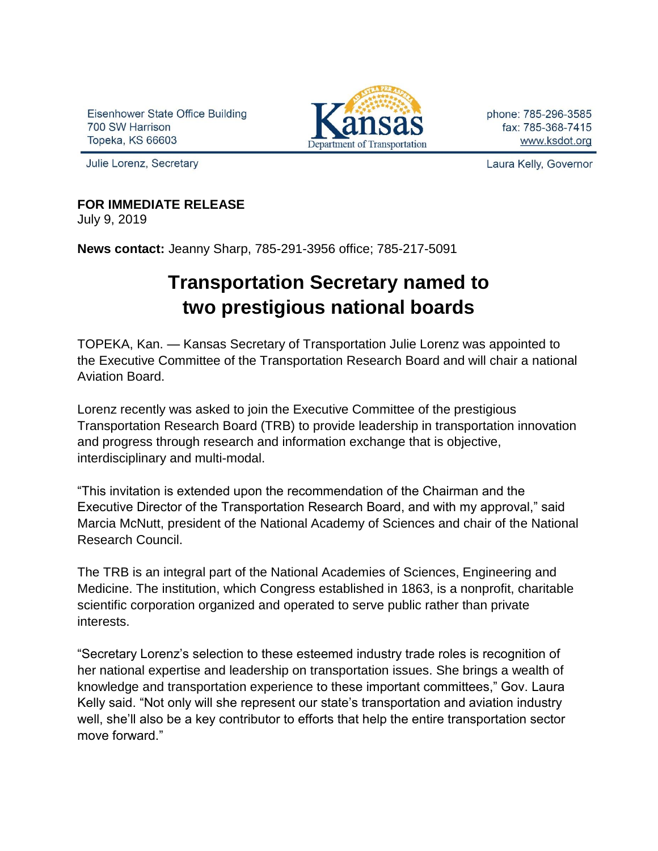Eisenhower State Office Building 700 SW Harrison Topeka, KS 66603



phone: 785-296-3585 fax: 785-368-7415 www.ksdot.org

Julie Lorenz, Secretary

Laura Kelly, Governor

## **FOR IMMEDIATE RELEASE**

July 9, 2019

**News contact:** Jeanny Sharp, 785-291-3956 office; 785-217-5091

## **Transportation Secretary named to two prestigious national boards**

TOPEKA, Kan. — Kansas Secretary of Transportation Julie Lorenz was appointed to the Executive Committee of the Transportation Research Board and will chair a national Aviation Board.

Lorenz recently was asked to join the Executive Committee of the prestigious Transportation Research Board (TRB) to provide leadership in transportation innovation and progress through research and information exchange that is objective, interdisciplinary and multi-modal.

"This invitation is extended upon the recommendation of the Chairman and the Executive Director of the Transportation Research Board, and with my approval," said Marcia McNutt, president of the National Academy of Sciences and chair of the National Research Council.

The TRB is an integral part of the National Academies of Sciences, Engineering and Medicine. The institution, which Congress established in 1863, is a nonprofit, charitable scientific corporation organized and operated to serve public rather than private interests.

"Secretary Lorenz's selection to these esteemed industry trade roles is recognition of her national expertise and leadership on transportation issues. She brings a wealth of knowledge and transportation experience to these important committees," Gov. Laura Kelly said. "Not only will she represent our state's transportation and aviation industry well, she'll also be a key contributor to efforts that help the entire transportation sector move forward."